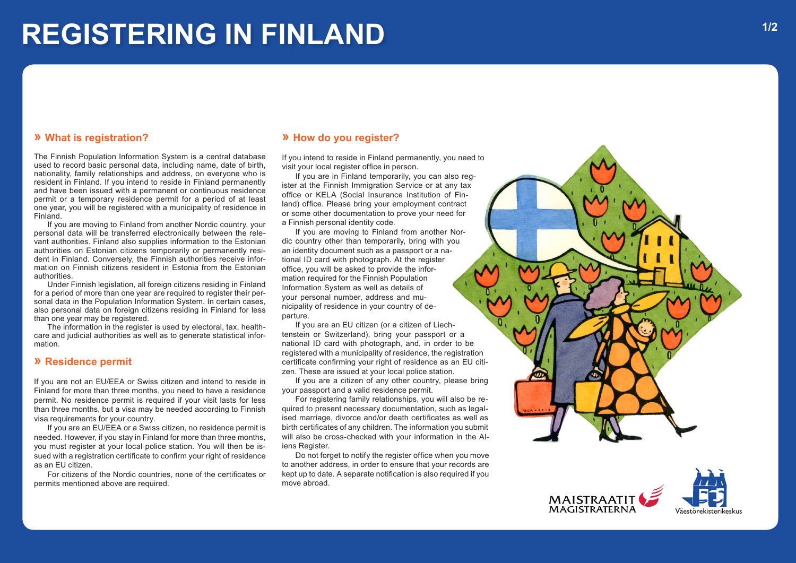# **REGISTERING IN FINLAND**

## **» What is registration?**

The Finnish Population Information System is a central database used to record basic personal data, including name, date of birth, nationality, family relationships and address, on everyone who is resident in Finland. If you intend to reside in Finland permanently and have been issued with a permanent or continuous residence permit or a temporary residence permit for a period of at least one year, you will be registered with a municipality of residence in Finland.

If you are moving to Finland from another Nordic country, your personal data will be transferred electronically between the rele vant authorities. Finland also supplies information to the Estonian authorities on Estonian citizens temporarily or permanently resi dent in Finland. Conversely, the Finnish authorities receive information on Finnish citizens resident in Estonia from the Estonian authorities.

Under Finnish legislation, all foreign citizens residing in Finland for a period of more than one year are required to register their personal data in the Population Information System. In certain cases, also personal data on foreign citizens residing in Finland for less than one year may be registered.

The information in the register is used by electoral, tax, health care and judicial authorities as well as to generate statistical information.

# **» Residence permit**

If you are not an EU/EEA or Swiss citizen and intend to reside in Finland for more than three months, you need to have a residence permit. No residence permit is required if your visit lasts for less than three months, but a visa may be needed according to Finnish visa requirements for your country.

If you are an EU/EEA or a Swiss citizen, no residence permit is needed. However, if you stay in Finland for more than three months, you must register at your local police station. You will then be is sued with a registration certificate to confirm your right of residence as an EU citizen.

For citizens of the Nordic countries, none of the certificates or permits mentioned above are required.

#### **» How do you register?**

If you intend to reside in Finland permanently, you need to visit your local register office in person.

If you are in Finland temporarily, you can also reg ister at the Finnish Immigration Service or at any tax office or KELA (Social Insurance Institution of Fin land) office. Please bring your employment contract or some other documentation to prove your need for a Finnish personal identity code.

If you are moving to Finland from another Nordic country other than temporarily, bring with you an identity document such as a passport or a na tional ID card with photograph. At the register office, you will be asked to provide the information required for the Finnish Population Information System as well as details of your personal number, address and mu nicipality of residence in your country of de parture.

If you are an EU citizen (or a citizen of Liech tenstein or Switzerland), bring your passport or a national ID card with photograph, and, in order to be registered with a municipality of residence, the registration certificate confirming your right of residence as an EU citi zen. These are issued at your local police station.

If you are a citizen of any other country, please bring your passport and a valid residence permit.

For registering family relationships, you will also be re quired to present necessary documentation, such as legal ised marriage, divorce and/or death certificates as well as birth certificates of any children. The information you submit will also be cross-checked with your information in the Al iens Register.

Do not forget to notify the register office when you move to another address, in order to ensure that your records are kept up to date. A separate notification is also required if you move abroad.